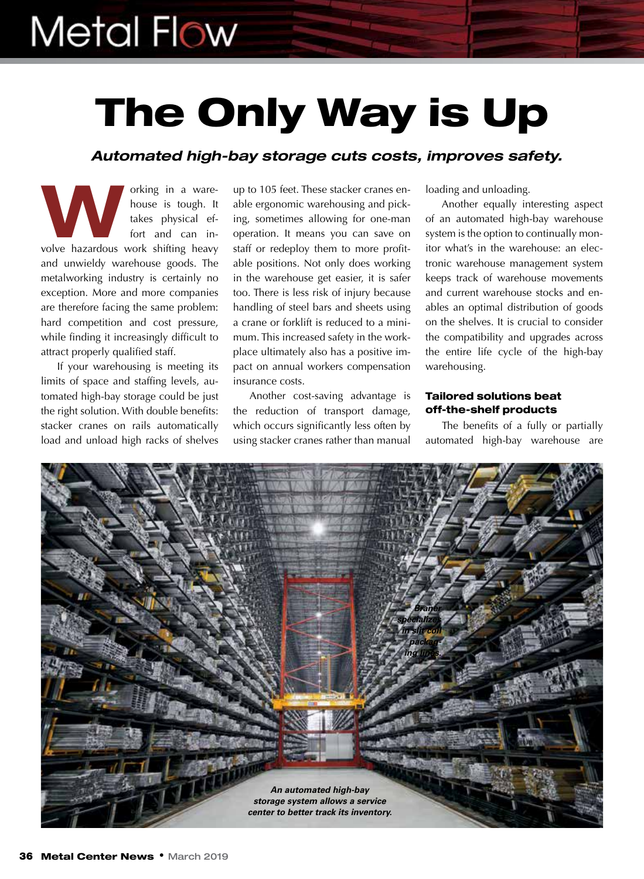## The Only Way is Up

#### *Automated high-bay storage cuts costs, improves safety.*

orking in a ware-<br>
house is tough. It<br>
takes physical ef-<br>
fort and can in-<br>
volve hazardous work shifting heavy house is tough. It takes physical effort and can inand unwieldy warehouse goods. The metalworking industry is certainly no exception. More and more companies are therefore facing the same problem: hard competition and cost pressure, while finding it increasingly difficult to attract properly qualified staff.

If your warehousing is meeting its limits of space and staffing levels, automated high-bay storage could be just the right solution. With double benefits: stacker cranes on rails automatically load and unload high racks of shelves

up to 105 feet. These stacker cranes enable ergonomic warehousing and picking, sometimes allowing for one-man operation. It means you can save on staff or redeploy them to more profitable positions. Not only does working in the warehouse get easier, it is safer too. There is less risk of injury because handling of steel bars and sheets using a crane or forklift is reduced to a minimum. This increased safety in the workplace ultimately also has a positive impact on annual workers compensation insurance costs.

Another cost-saving advantage is the reduction of transport damage, which occurs significantly less often by using stacker cranes rather than manual loading and unloading.

Another equally interesting aspect of an automated high-bay warehouse system is the option to continually monitor what's in the warehouse: an electronic warehouse management system keeps track of warehouse movements and current warehouse stocks and enables an optimal distribution of goods on the shelves. It is crucial to consider the compatibility and upgrades across the entire life cycle of the high-bay warehousing.

#### Tailored solutions beat off-the-shelf products

The benefits of a fully or partially automated high-bay warehouse are

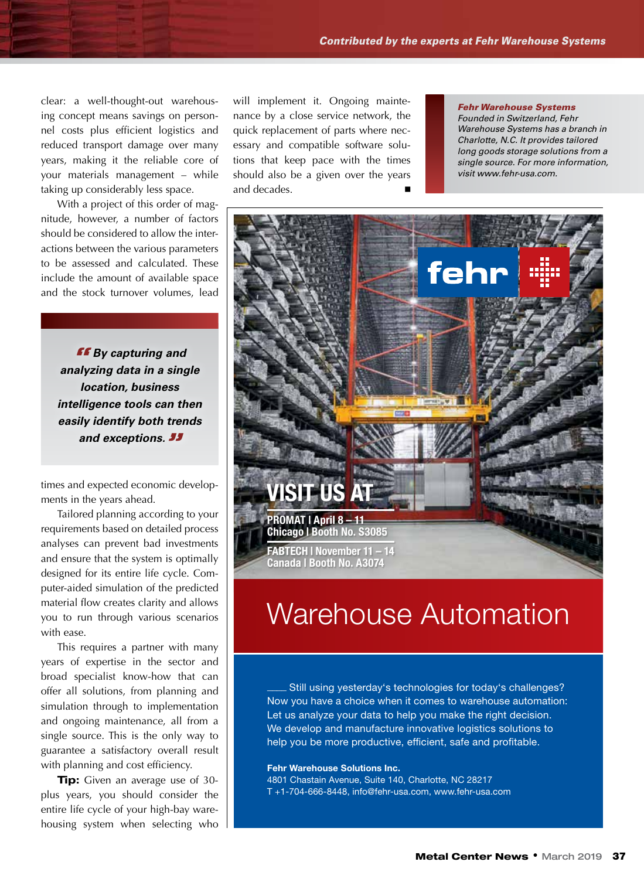clear: a well-thought-out warehousing concept means savings on personnel costs plus efficient logistics and reduced transport damage over many years, making it the reliable core of your materials management – while taking up considerably less space.

With a project of this order of magnitude, however, a number of factors should be considered to allow the interactions between the various parameters to be assessed and calculated. These include the amount of available space and the stock turnover volumes, lead

**"***By capturing and analyzing data in a single location, business intelligence tools can then easily identify both trends and exceptions.***"**

times and expected economic developments in the years ahead.

Tailored planning according to your requirements based on detailed process analyses can prevent bad investments and ensure that the system is optimally designed for its entire life cycle. Computer-aided simulation of the predicted material flow creates clarity and allows you to run through various scenarios with ease.

This requires a partner with many years of expertise in the sector and broad specialist know-how that can offer all solutions, from planning and simulation through to implementation and ongoing maintenance, all from a single source. This is the only way to guarantee a satisfactory overall result with planning and cost efficiency.

**Tip:** Given an average use of 30plus years, you should consider the entire life cycle of your high-bay warehousing system when selecting who will implement it. Ongoing maintenance by a close service network, the quick replacement of parts where necessary and compatible software solutions that keep pace with the times should also be a given over the years and decades.

#### *Fehr Warehouse Systems*

*Founded in Switzerland, Fehr Warehouse Systems has a branch in Charlotte, N.C. It provides tailored long goods storage solutions from a single source. For more information, visit www.fehr-usa.com.* 



### Warehouse Automation

. Still using yesterday's technologies for today's challenges? Now you have a choice when it comes to warehouse automation: Let us analyze your data to help you make the right decision. We develop and manufacture innovative logistics solutions to help you be more productive, efficient, safe and profitable.

Fehr Warehouse Solutions Inc.

- 4801 Chastain Avenue, Suite 140, Charlotte, NC 28217
- T +1-704-666-8448, info@fehr-usa.com, www.fehr-usa.com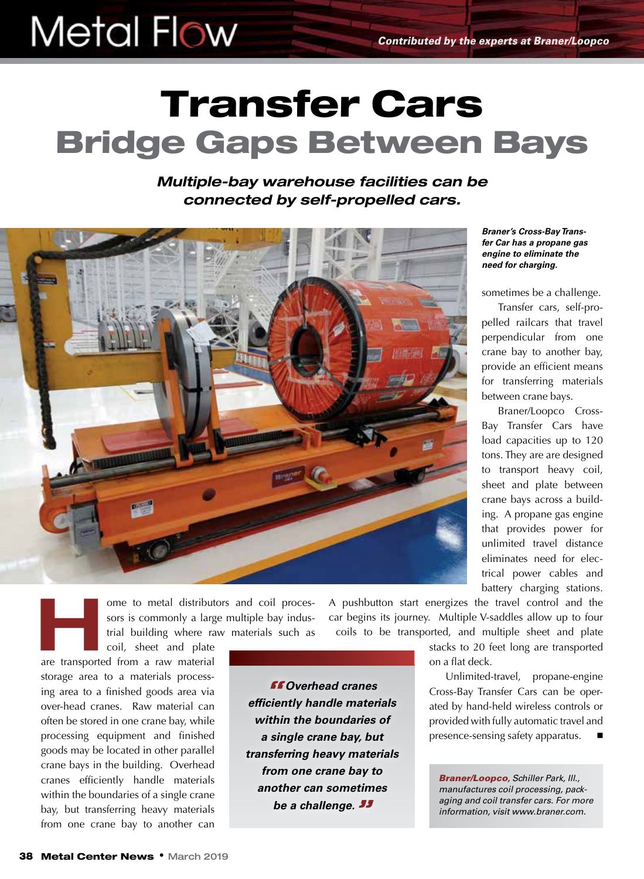### Transfer Cars Bridge Gaps Between Bays

*Multiple-bay warehouse facilities can be connected by self-propelled cars.* 



ome to metal distributors and coil proces-<br>sors is commonly a large multiple bay indus-<br>trial building where raw materials such as<br>coil, sheet and plate sors is commonly a large multiple bay industrial building where raw materials such as

coil, sheet and plate are transported from a raw material storage area to a materials processing area to a finished goods area via over-head cranes. Raw material can often be stored in one crane bay, while processing equipment and finished goods may be located in other parallel crane bays in the building. Overhead cranes efficiently handle materials within the boundaries of a single crane bay, but transferring heavy materials from one crane bay to another can

**"***Overhead cranes efficiently handle materials within the boundaries of a single crane bay, but transferring heavy materials from one crane bay to another can sometimes* **be a challenge. "** 

A pushbutton start energizes the travel control and the car begins its journey. Multiple V-saddles allow up to four coils to be transported, and multiple sheet and plate

> stacks to 20 feet long are transported on a flat deck.

Unlimited-travel, propane-engine Cross-Bay Transfer Cars can be operated by hand-held wireless controls or provided with fully automatic travel and presence-sensing safety apparatus.

*Braner/Loopco, Schiller Park, Ill., manufactures coil processing, packaging and coil transfer cars. For more information, visit www.braner.com.*

*Braner's Cross-Bay Transfer Car has a propane gas engine to eliminate the need for charging.* 

sometimes be a challenge.

Transfer cars, self-propelled railcars that travel perpendicular from one crane bay to another bay, provide an efficient means for transferring materials between crane bays.

Braner/Loopco Cross-Bay Transfer Cars have load capacities up to 120 tons. They are are designed to transport heavy coil, sheet and plate between crane bays across a building. A propane gas engine that provides power for unlimited travel distance eliminates need for electrical power cables and battery charging stations.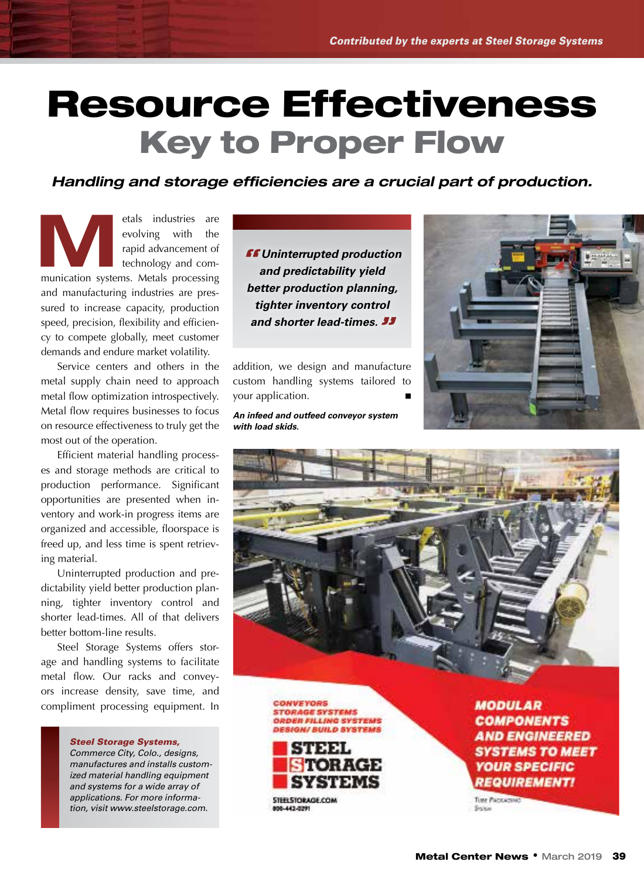### Resource Effectiveness Key to Proper Flow

*Handling and storage efficiencies are a crucial part of production.*

etals industries are<br>
evolving with the<br>
rapid advancement of<br>
technology and com-<br>
munication systems. Metals processing evolving with the rapid advancement of technology and communication systems. Metals processing and manufacturing industries are pressured to increase capacity, production speed, precision, flexibility and efficiency to compete globally, meet customer demands and endure market volatility.

Service centers and others in the metal supply chain need to approach metal flow optimization introspectively. Metal flow requires businesses to focus on resource effectiveness to truly get the most out of the operation.

Efficient material handling processes and storage methods are critical to production performance. Significant opportunities are presented when inventory and work-in progress items are organized and accessible, floorspace is freed up, and less time is spent retrieving material.

Uninterrupted production and predictability yield better production planning, tighter inventory control and shorter lead-times. All of that delivers better bottom-line results.

Steel Storage Systems offers storage and handling systems to facilitate metal flow. Our racks and conveyors increase density, save time, and compliment processing equipment. In

> *Steel Storage Systems, Commerce City, Colo., designs, manufactures and installs customized material handling equipment and systems for a wide array of applications. For more information, visit www.steelstorage.com.*

**"***Uninterrupted production and predictability yield better production planning, tighter inventory control and shorter lead-times.***"**

addition, we design and manufacture custom handling systems tailored to your application.

*An infeed and outfeed conveyor system with load skids.* 







**DESIGN/ BUILD SYSTEMS** 

STEELSTORAGE.COM 443-0291

**COMPONENTS AND ENGINEERED SYSTEMS TO MEET YOUR SPECIFIC** *REQUIREMENT!* 

Tuse PACKAOING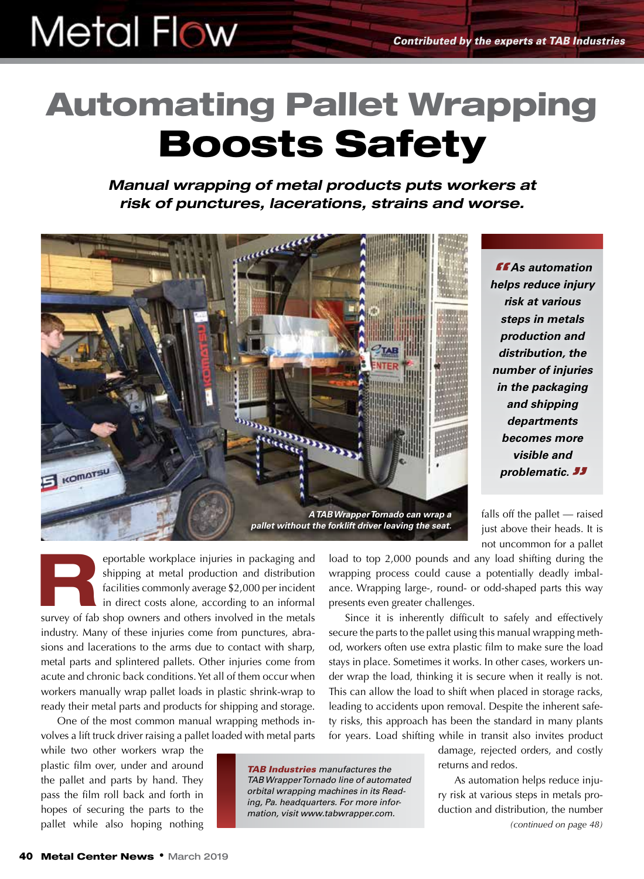## Automating Pallet Wrapping Boosts Safety

*Manual wrapping of metal products puts workers at risk of punctures, lacerations, strains and worse.* 



**"***As automation helps reduce injury risk at various steps in metals production and distribution, the number of injuries in the packaging and shipping departments becomes more visible and problematic.***"**

falls off the pallet — raised just above their heads. It is not uncommon for a pallet

*pallet without the forklift driver leaving the seat.* 

eportable workplace injuries in packaging and shipping at metal production and distribution facilities commonly average \$2,000 per incident in direct costs alone, according to an informal survey of fab shop owners and others involved in the metals industry. Many of these injuries come from punctures, abrasions and lacerations to the arms due to contact with sharp, metal parts and splintered pallets. Other injuries come from acute and chronic back conditions. Yet all of them occur when workers manually wrap pallet loads in plastic shrink-wrap to ready their metal parts and products for shipping and storage.

One of the most common manual wrapping methods involves a lift truck driver raising a pallet loaded with metal parts

while two other workers wrap the plastic film over, under and around the pallet and parts by hand. They pass the film roll back and forth in hopes of securing the parts to the pallet while also hoping nothing load to top 2,000 pounds and any load shifting during the wrapping process could cause a potentially deadly imbalance. Wrapping large-, round- or odd-shaped parts this way presents even greater challenges.

Since it is inherently difficult to safely and effectively secure the parts to the pallet using this manual wrapping method, workers often use extra plastic film to make sure the load stays in place. Sometimes it works. In other cases, workers under wrap the load, thinking it is secure when it really is not. This can allow the load to shift when placed in storage racks, leading to accidents upon removal. Despite the inherent safety risks, this approach has been the standard in many plants for years. Load shifting while in transit also invites product

*TAB Industries manufactures the TAB Wrapper Tornado line of automated orbital wrapping machines in its Reading, Pa. headquarters. For more information, visit www.tabwrapper.com.*

damage, rejected orders, and costly returns and redos.

As automation helps reduce injury risk at various steps in metals production and distribution, the number *(continued on page 48)*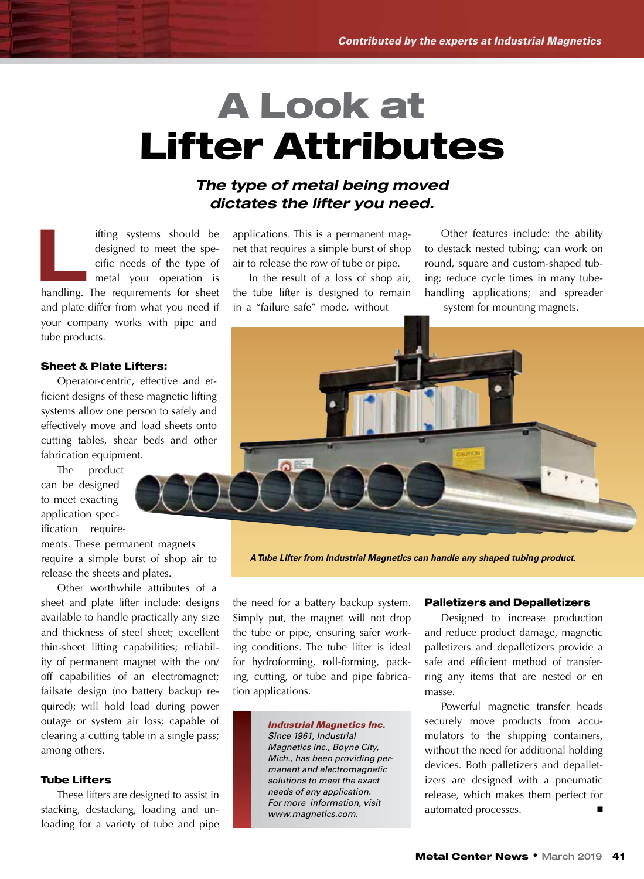### A Look at Lifter Attributes

#### *The type of metal being moved dictates the lifter you need.*

ifting systems should be<br>designed to meet the spe-<br>cific needs of the type of<br>metal your operation is<br>handling. The requirements for sheet designed to meet the specific needs of the type of metal your operation is handling. The requirements for sheet and plate differ from what you need if your company works with pipe and tube products.

#### Sheet & Plate Lifters:

Operator-centric, effective and efficient designs of these magnetic lifting systems allow one person to safely and effectively move and load sheets onto cutting tables, shear beds and other fabrication equipment.

The product can be designed to meet exacting application specification require-

ments. These permanent magnets require a simple burst of shop air to release the sheets and plates.

Other worthwhile attributes of a sheet and plate lifter include: designs available to handle practically any size and thickness of steel sheet; excellent thin-sheet lifting capabilities; reliability of permanent magnet with the on/ off capabilities of an electromagnet; failsafe design (no battery backup required); will hold load during power outage or system air loss; capable of clearing a cutting table in a single pass; among others.

#### Tube Lifters

These lifters are designed to assist in stacking, destacking, loading and unloading for a variety of tube and pipe

applications. This is a permanent magnet that requires a simple burst of shop air to release the row of tube or pipe.

In the result of a loss of shop air, the tube lifter is designed to remain in a "failure safe" mode, without

Other features include: the ability to destack nested tubing; can work on round, square and custom-shaped tubing; reduce cycle times in many tubehandling applications; and spreader system for mounting magnets.



*A Tube Lifter from Industrial Magnetics can handle any shaped tubing product.* 

the need for a battery backup system. Simply put, the magnet will not drop the tube or pipe, ensuring safer working conditions. The tube lifter is ideal for hydroforming, roll-forming, packing, cutting, or tube and pipe fabrication applications.

> *Industrial Magnetics Inc. Since 1961, Industrial Magnetics Inc., Boyne City, Mich., has been providing permanent and electromagnetic solutions to meet the exact needs of any application. For more information, visit www.magnetics.com.*

#### Palletizers and Depalletizers

Designed to increase production and reduce product damage, magnetic palletizers and depalletizers provide a safe and efficient method of transferring any items that are nested or en masse.

Powerful magnetic transfer heads securely move products from accumulators to the shipping containers, without the need for additional holding devices. Both palletizers and depalletizers are designed with a pneumatic release, which makes them perfect for automated processes. ■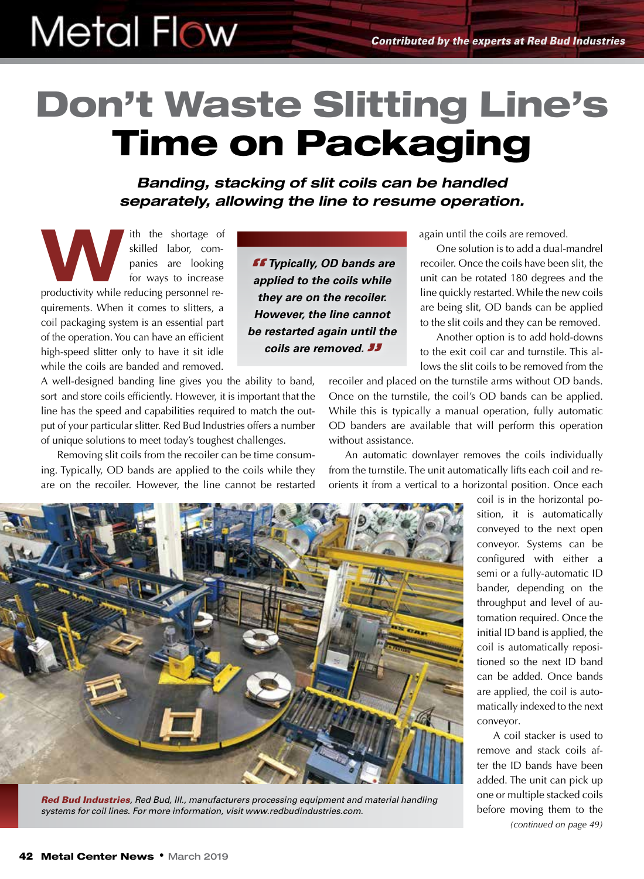## Don't Waste Slitting Line's Time on Packaging

*Banding, stacking of slit coils can be handled separately, allowing the line to resume operation.* 

th the shortage of skilled labor, companies are looking for ways to increase productivity while reducing personnel reskilled labor, companies are looking for ways to increase quirements. When it comes to slitters, a coil packaging system is an essential part of the operation. You can have an efficient high-speed slitter only to have it sit idle while the coils are banded and removed.

**"***Typically, OD bands are applied to the coils while they are on the recoiler. However, the line cannot be restarted again until the coils are removed.***"**

A well-designed banding line gives you the ability to band, sort and store coils efficiently. However, it is important that the line has the speed and capabilities required to match the output of your particular slitter. Red Bud Industries offers a number of unique solutions to meet today's toughest challenges.

Removing slit coils from the recoiler can be time consuming. Typically, OD bands are applied to the coils while they are on the recoiler. However, the line cannot be restarted

again until the coils are removed.

One solution is to add a dual-mandrel recoiler. Once the coils have been slit, the unit can be rotated 180 degrees and the line quickly restarted. While the new coils are being slit, OD bands can be applied to the slit coils and they can be removed.

Another option is to add hold-downs to the exit coil car and turnstile. This allows the slit coils to be removed from the

recoiler and placed on the turnstile arms without OD bands. Once on the turnstile, the coil's OD bands can be applied. While this is typically a manual operation, fully automatic OD banders are available that will perform this operation without assistance.

An automatic downlayer removes the coils individually from the turnstile. The unit automatically lifts each coil and reorients it from a vertical to a horizontal position. Once each



*Red Bud Industries, Red Bud, Ill., manufacturers processing equipment and material handling systems for coil lines. For more information, visit www.redbudindustries.com.*

coil is in the horizontal position, it is automatically conveyed to the next open conveyor. Systems can be configured with either a semi or a fully-automatic ID bander, depending on the throughput and level of automation required. Once the initial ID band is applied, the coil is automatically repositioned so the next ID band can be added. Once bands are applied, the coil is automatically indexed to the next conveyor.

A coil stacker is used to remove and stack coils after the ID bands have been added. The unit can pick up one or multiple stacked coils before moving them to the *(continued on page 49)*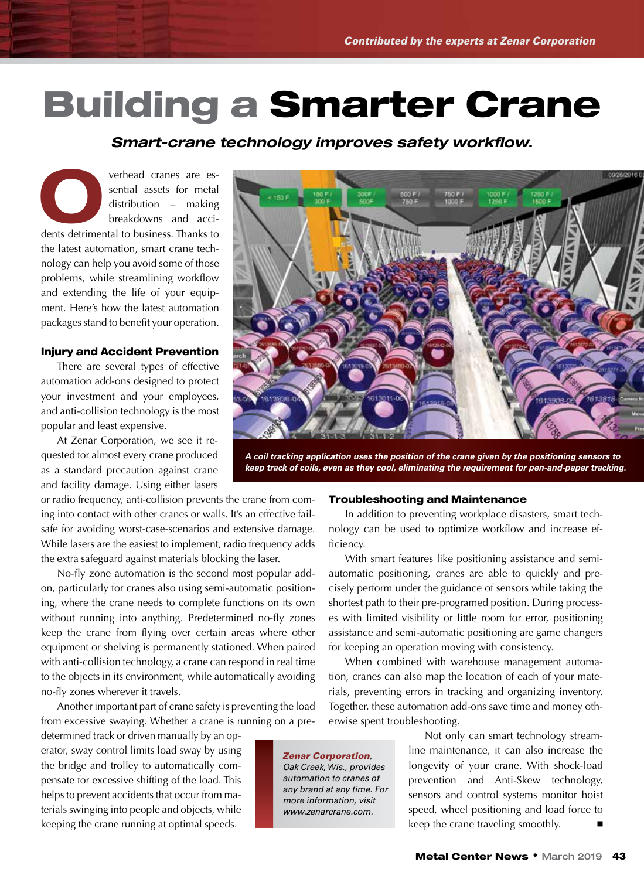### Building a Smarter Crane

*Smart-crane technology improves safety workflow.*

Experience de cranes are es-<br>
sential assets for metal<br>
distribution – making<br>
breakdowns and acci-<br>
dents detrimental to business Thanks to sential assets for metal distribution – making breakdowns and accidents detrimental to business. Thanks to the latest automation, smart crane technology can help you avoid some of those problems, while streamlining workflow and extending the life of your equipment. Here's how the latest automation packages stand to benefit your operation.

#### Injury and Accident Prevention

There are several types of effective automation add-ons designed to protect your investment and your employees, and anti-collision technology is the most popular and least expensive.

At Zenar Corporation, we see it requested for almost every crane produced as a standard precaution against crane and facility damage. Using either lasers

or radio frequency, anti-collision prevents the crane from coming into contact with other cranes or walls. It's an effective failsafe for avoiding worst-case-scenarios and extensive damage. While lasers are the easiest to implement, radio frequency adds the extra safeguard against materials blocking the laser.

No-fly zone automation is the second most popular addon, particularly for cranes also using semi-automatic positioning, where the crane needs to complete functions on its own without running into anything. Predetermined no-fly zones keep the crane from flying over certain areas where other equipment or shelving is permanently stationed. When paired with anti-collision technology, a crane can respond in real time to the objects in its environment, while automatically avoiding no-fly zones wherever it travels.

Another important part of crane safety is preventing the load from excessive swaying. Whether a crane is running on a pre-

determined track or driven manually by an operator, sway control limits load sway by using the bridge and trolley to automatically compensate for excessive shifting of the load. This helps to prevent accidents that occur from materials swinging into people and objects, while keeping the crane running at optimal speeds.



*A coil tracking application uses the position of the crane given by the positioning sensors to keep track of coils, even as they cool, eliminating the requirement for pen-and-paper tracking.*

#### Troubleshooting and Maintenance

In addition to preventing workplace disasters, smart technology can be used to optimize workflow and increase efficiency.

With smart features like positioning assistance and semiautomatic positioning, cranes are able to quickly and precisely perform under the guidance of sensors while taking the shortest path to their pre-programed position. During processes with limited visibility or little room for error, positioning assistance and semi-automatic positioning are game changers for keeping an operation moving with consistency.

When combined with warehouse management automation, cranes can also map the location of each of your materials, preventing errors in tracking and organizing inventory. Together, these automation add-ons save time and money otherwise spent troubleshooting.

*Zenar Corporation, Oak Creek, Wis., provides automation to cranes of any brand at any time. For more information, visit www.zenarcrane.com.*

Not only can smart technology streamline maintenance, it can also increase the longevity of your crane. With shock-load prevention and Anti-Skew technology, sensors and control systems monitor hoist speed, wheel positioning and load force to keep the crane traveling smoothly.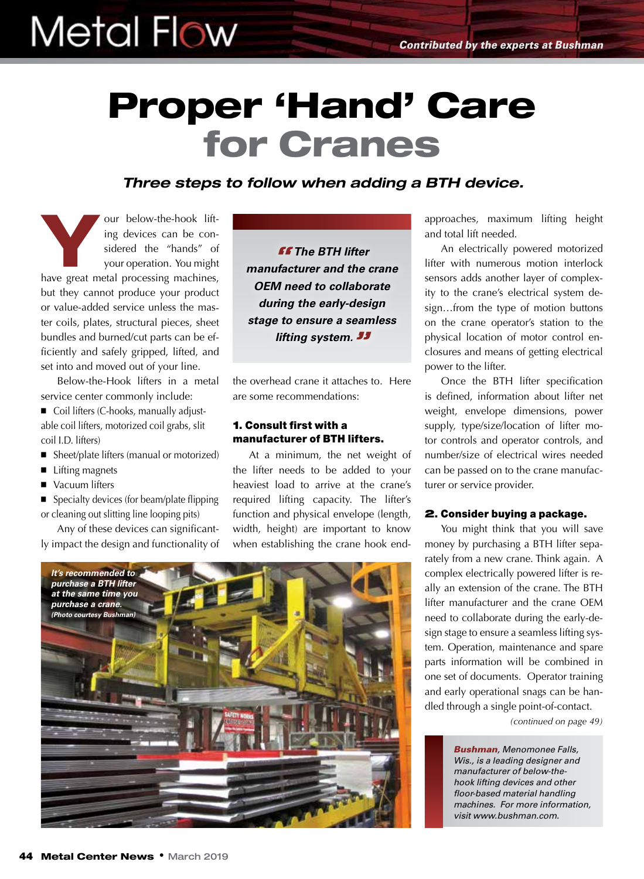### Proper 'Hand' Care for Cranes

*Three steps to follow when adding a BTH device.*

our below-the-hook lift-<br>ing devices can be considered the "hands" of<br>your operation. You might ing devices can be considered the "hands" of your operation. You might have great metal processing machines, but they cannot produce your product or value-added service unless the master coils, plates, structural pieces, sheet bundles and burned/cut parts can be efficiently and safely gripped, lifted, and set into and moved out of your line.

**Metal Flow** 

Below-the-Hook lifters in a metal service center commonly include:

- Coil lifters (C-hooks, manually adjustable coil lifters, motorized coil grabs, slit coil I.D. lifters)
- Sheet/plate lifters (manual or motorized)
- Lifting magnets
- Vacuum lifters

■ Specialty devices (for beam/plate flipping or cleaning out slitting line looping pits)

Any of these devices can significantly impact the design and functionality of

**"***The BTH lifter manufacturer and the crane OEM need to collaborate during the early-design stage to ensure a seamless lifting system.***"**

the overhead crane it attaches to. Here are some recommendations:

#### 1. Consult first with a manufacturer of BTH lifters.

At a minimum, the net weight of the lifter needs to be added to your heaviest load to arrive at the crane's required lifting capacity. The lifter's function and physical envelope (length, width, height) are important to know when establishing the crane hook end-

approaches, maximum lifting height and total lift needed.

An electrically powered motorized lifter with numerous motion interlock sensors adds another layer of complexity to the crane's electrical system design…from the type of motion buttons on the crane operator's station to the physical location of motor control enclosures and means of getting electrical power to the lifter.

Once the BTH lifter specification is defined, information about lifter net weight, envelope dimensions, power supply, type/size/location of lifter motor controls and operator controls, and number/size of electrical wires needed can be passed on to the crane manufacturer or service provider.

#### 2. Consider buying a package.

You might think that you will save money by purchasing a BTH lifter separately from a new crane. Think again. A complex electrically powered lifter is really an extension of the crane. The BTH lifter manufacturer and the crane OEM need to collaborate during the early-design stage to ensure a seamless lifting system. Operation, maintenance and spare parts information will be combined in one set of documents. Operator training and early operational snags can be handled through a single point-of-contact.

*(continued on page 49)*

*Bushman, Menomonee Falls, Wis., is a leading designer and manufacturer of below-thehook lifting devices and other floor-based material handling machines. For more information, visit www.bushman.com.*

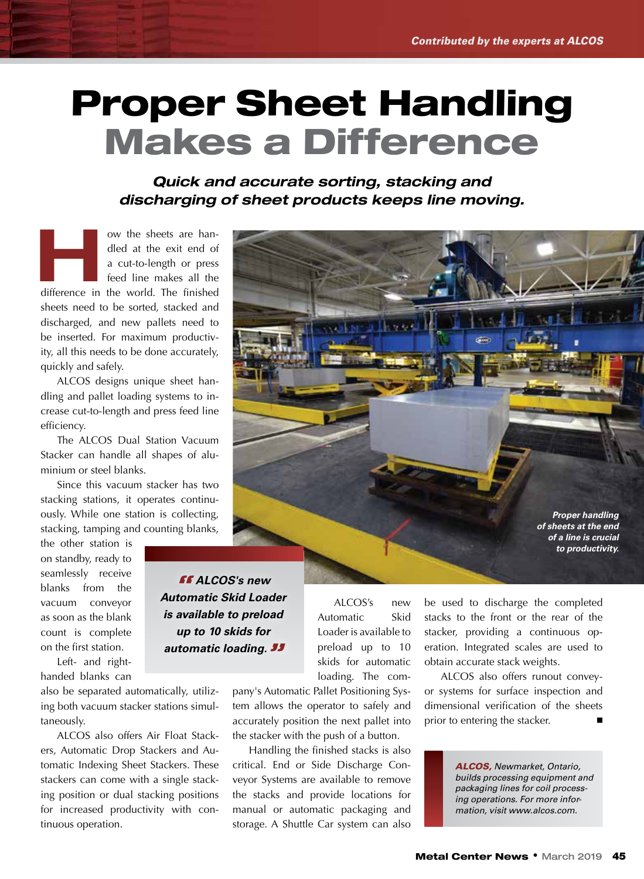### Proper Sheet Handling Makes a Difference

*Quick and accurate sorting, stacking and discharging of sheet products keeps line moving.*

ow the sheets are han-<br>dled at the exit end of<br>a cut-to-length or press<br>feed line makes all the<br>difference in the world. The finished dled at the exit end of a cut-to-length or press feed line makes all the sheets need to be sorted, stacked and discharged, and new pallets need to be inserted. For maximum productivity, all this needs to be done accurately, quickly and safely.

ALCOS designs unique sheet handling and pallet loading systems to increase cut-to-length and press feed line efficiency.

The ALCOS Dual Station Vacuum Stacker can handle all shapes of aluminium or steel blanks.

Since this vacuum stacker has two stacking stations, it operates continuously. While one station is collecting, stacking, tamping and counting blanks,

the other station is on standby, ready to seamlessly receive blanks from the vacuum conveyor as soon as the blank count is complete on the first station.

Left- and righthanded blanks can

also be separated automatically, utilizing both vacuum stacker stations simultaneously.

ALCOS also offers Air Float Stackers, Automatic Drop Stackers and Automatic Indexing Sheet Stackers. These stackers can come with a single stacking position or dual stacking positions for increased productivity with continuous operation.

 $\ln v \approx$ *Proper handling of sheets at the end of a line is crucial to productivity.* 

**"** *ALCOS's new Automatic Skid Loader is available to preload up to 10 skids for automatic loading.***"**

ALCOS's new Automatic Skid Loader is available to preload up to 10 skids for automatic loading. The com-

pany's Automatic Pallet Positioning System allows the operator to safely and accurately position the next pallet into the stacker with the push of a button.

Handling the finished stacks is also critical. End or Side Discharge Conveyor Systems are available to remove the stacks and provide locations for manual or automatic packaging and storage. A Shuttle Car system can also

be used to discharge the completed stacks to the front or the rear of the stacker, providing a continuous operation. Integrated scales are used to obtain accurate stack weights.

ALCOS also offers runout conveyor systems for surface inspection and dimensional verification of the sheets prior to entering the stacker.

> *ALCOS, Newmarket, Ontario, builds processing equipment and packaging lines for coil processing operations. For more information, visit www.alcos.com.*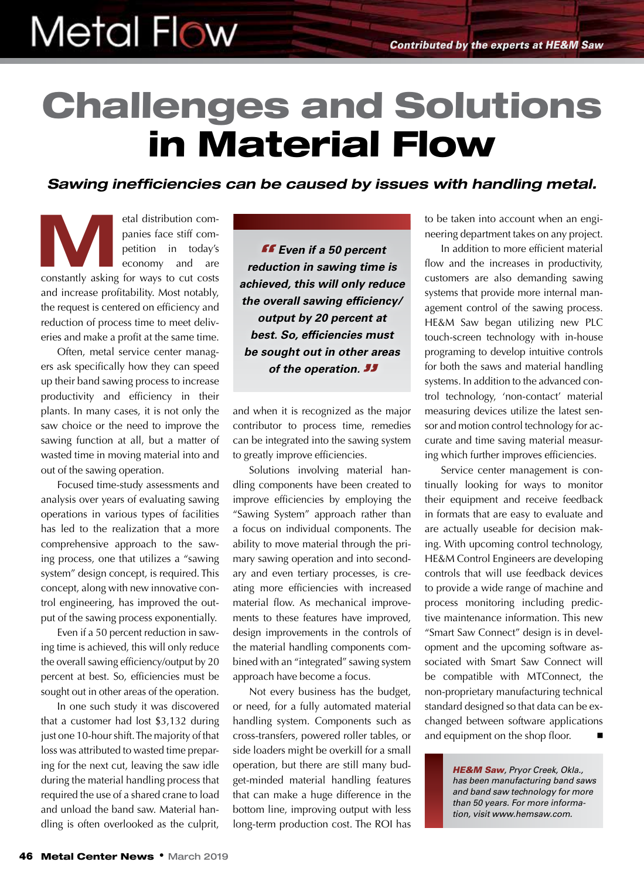### Challenges and Solutions in Material Flow

*Sawing inefficiencies can be caused by issues with handling metal.*

etal distribution com-<br>
panies face stiff com-<br>
petition in today's<br>
economy and are<br>
constantly asking for ways to cut costs panies face stiff competition in today's economy and are constantly asking for ways to cut costs and increase profitability. Most notably, the request is centered on efficiency and reduction of process time to meet deliveries and make a profit at the same time.

Often, metal service center managers ask specifically how they can speed up their band sawing process to increase productivity and efficiency in their plants. In many cases, it is not only the saw choice or the need to improve the sawing function at all, but a matter of wasted time in moving material into and out of the sawing operation.

Focused time-study assessments and analysis over years of evaluating sawing operations in various types of facilities has led to the realization that a more comprehensive approach to the sawing process, one that utilizes a "sawing system" design concept, is required. This concept, along with new innovative control engineering, has improved the output of the sawing process exponentially.

Even if a 50 percent reduction in sawing time is achieved, this will only reduce the overall sawing efficiency/output by 20 percent at best. So, efficiencies must be sought out in other areas of the operation.

In one such study it was discovered that a customer had lost \$3,132 during just one 10-hour shift. The majority of that loss was attributed to wasted time preparing for the next cut, leaving the saw idle during the material handling process that required the use of a shared crane to load and unload the band saw. Material handling is often overlooked as the culprit,

**"***Even if a 50 percent reduction in sawing time is achieved, this will only reduce the overall sawing efficiency/ output by 20 percent at best. So, efficiencies must be sought out in other areas of the operation.***"**

and when it is recognized as the major contributor to process time, remedies can be integrated into the sawing system to greatly improve efficiencies.

Solutions involving material handling components have been created to improve efficiencies by employing the "Sawing System" approach rather than a focus on individual components. The ability to move material through the primary sawing operation and into secondary and even tertiary processes, is creating more efficiencies with increased material flow. As mechanical improvements to these features have improved, design improvements in the controls of the material handling components combined with an "integrated" sawing system approach have become a focus.

Not every business has the budget, or need, for a fully automated material handling system. Components such as cross-transfers, powered roller tables, or side loaders might be overkill for a small operation, but there are still many budget-minded material handling features that can make a huge difference in the bottom line, improving output with less long-term production cost. The ROI has to be taken into account when an engineering department takes on any project.

In addition to more efficient material flow and the increases in productivity, customers are also demanding sawing systems that provide more internal management control of the sawing process. HE&M Saw began utilizing new PLC touch-screen technology with in-house programing to develop intuitive controls for both the saws and material handling systems. In addition to the advanced control technology, 'non-contact' material measuring devices utilize the latest sensor and motion control technology for accurate and time saving material measuring which further improves efficiencies.

Service center management is continually looking for ways to monitor their equipment and receive feedback in formats that are easy to evaluate and are actually useable for decision making. With upcoming control technology, HE&M Control Engineers are developing controls that will use feedback devices to provide a wide range of machine and process monitoring including predictive maintenance information. This new "Smart Saw Connect" design is in development and the upcoming software associated with Smart Saw Connect will be compatible with MTConnect, the non-proprietary manufacturing technical standard designed so that data can be exchanged between software applications and equipment on the shop floor.

> *HE&M Saw, Pryor Creek, Okla., has been manufacturing band saws and band saw technology for more than 50 years. For more information, visit www.hemsaw.com.*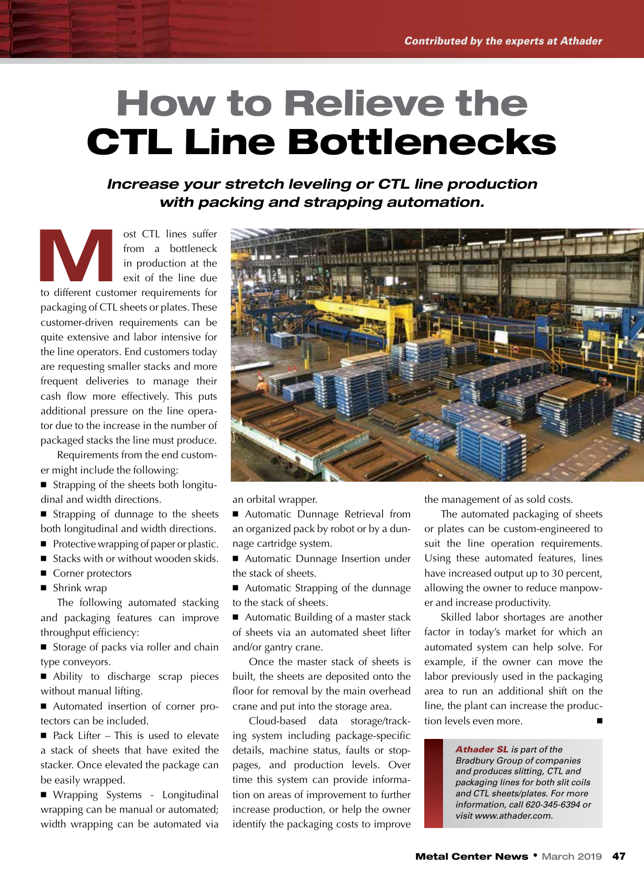### How to Relieve the CTL Line Bottlenecks

*Increase your stretch leveling or CTL line production with packing and strapping automation.*

ost CTL lines suffer<br>
from a bottleneck<br>
in production at the<br>
exit of the line due<br>
to different customer requirements for from a bottleneck in production at the exit of the line due packaging of CTL sheets or plates. These customer-driven requirements can be quite extensive and labor intensive for the line operators. End customers today are requesting smaller stacks and more frequent deliveries to manage their cash flow more effectively. This puts additional pressure on the line operator due to the increase in the number of packaged stacks the line must produce.

Requirements from the end customer might include the following:

■ Strapping of the sheets both longitudinal and width directions.

■ Strapping of dunnage to the sheets both longitudinal and width directions.

- Protective wrapping of paper or plastic.
- Stacks with or without wooden skids.
- Corner protectors
- Shrink wrap

The following automated stacking and packaging features can improve throughput efficiency:

■ Storage of packs via roller and chain type conveyors.

■ Ability to discharge scrap pieces without manual lifting.

■ Automated insertion of corner protectors can be included.

 $\blacksquare$  Pack Lifter – This is used to elevate a stack of sheets that have exited the stacker. Once elevated the package can be easily wrapped.

■ Wrapping Systems - Longitudinal wrapping can be manual or automated; width wrapping can be automated via



an orbital wrapper.

■ Automatic Dunnage Retrieval from an organized pack by robot or by a dunnage cartridge system.

■ Automatic Dunnage Insertion under the stack of sheets.

■ Automatic Strapping of the dunnage to the stack of sheets.

■ Automatic Building of a master stack of sheets via an automated sheet lifter and/or gantry crane.

Once the master stack of sheets is built, the sheets are deposited onto the floor for removal by the main overhead crane and put into the storage area.

Cloud-based data storage/tracking system including package-specific details, machine status, faults or stoppages, and production levels. Over time this system can provide information on areas of improvement to further increase production, or help the owner identify the packaging costs to improve the management of as sold costs.

The automated packaging of sheets or plates can be custom-engineered to suit the line operation requirements. Using these automated features, lines have increased output up to 30 percent, allowing the owner to reduce manpower and increase productivity.

Skilled labor shortages are another factor in today's market for which an automated system can help solve. For example, if the owner can move the labor previously used in the packaging area to run an additional shift on the line, the plant can increase the production levels even more.

> *Athader SL is part of the Bradbury Group of companies and produces slitting, CTL and packaging lines for both slit coils and CTL sheets/plates. For more information, call 620-345-6394 or visit www.athader.com.*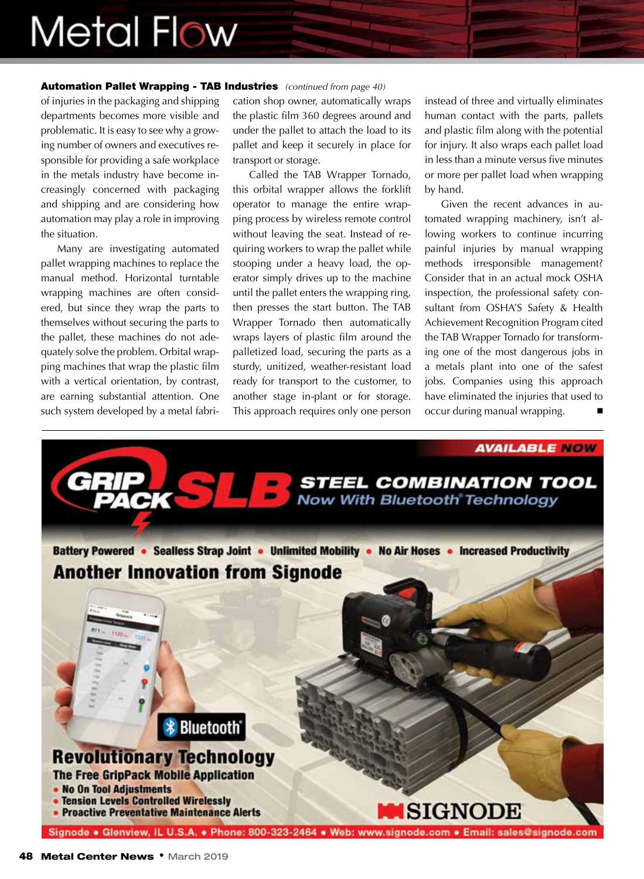#### Automation Pallet Wrapping - TAB Industries *(continued from page 40)*

of injuries in the packaging and shipping departments becomes more visible and problematic. It is easy to see why a growing number of owners and executives responsible for providing a safe workplace in the metals industry have become increasingly concerned with packaging and shipping and are considering how automation may play a role in improving the situation.

Many are investigating automated pallet wrapping machines to replace the manual method. Horizontal turntable wrapping machines are often considered, but since they wrap the parts to themselves without securing the parts to the pallet, these machines do not adequately solve the problem. Orbital wrapping machines that wrap the plastic film with a vertical orientation, by contrast, are earning substantial attention. One such system developed by a metal fabrication shop owner, automatically wraps the plastic film 360 degrees around and under the pallet to attach the load to its pallet and keep it securely in place for transport or storage.

Called the TAB Wrapper Tornado, this orbital wrapper allows the forklift operator to manage the entire wrapping process by wireless remote control without leaving the seat. Instead of requiring workers to wrap the pallet while stooping under a heavy load, the operator simply drives up to the machine until the pallet enters the wrapping ring, then presses the start button. The TAB Wrapper Tornado then automatically wraps layers of plastic film around the palletized load, securing the parts as a sturdy, unitized, weather-resistant load ready for transport to the customer, to another stage in-plant or for storage. This approach requires only one person

instead of three and virtually eliminates human contact with the parts, pallets and plastic film along with the potential for injury. It also wraps each pallet load in less than a minute versus five minutes or more per pallet load when wrapping by hand.

Given the recent advances in automated wrapping machinery, isn't allowing workers to continue incurring painful injuries by manual wrapping methods irresponsible management? Consider that in an actual mock OSHA inspection, the professional safety consultant from OSHA'S Safety & Health Achievement Recognition Program cited the TAB Wrapper Tornado for transforming one of the most dangerous jobs in a metals plant into one of the safest jobs. Companies using this approach have eliminated the injuries that used to occur during manual wrapping.